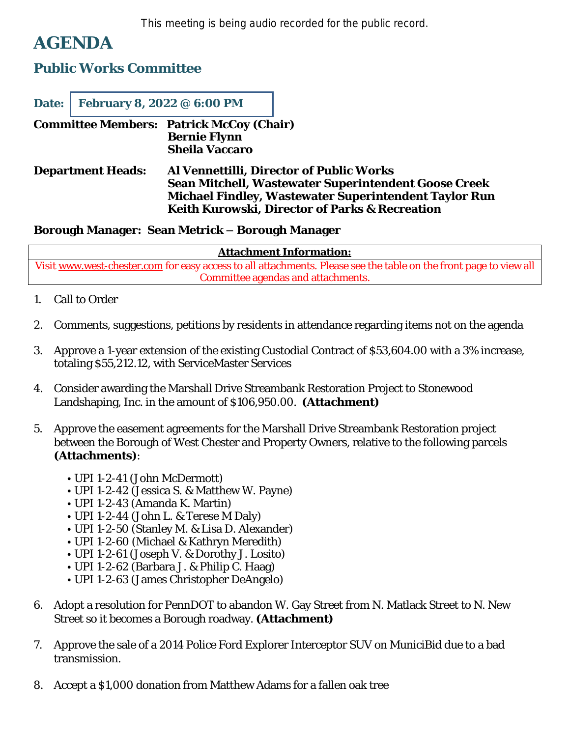This meeting is being audio recorded for the public record.

## **AGENDA**

## **Public Works Committee**

| Date:                                           | February 8, 2022 @ 6:00 PM |                                              |                                                                                                                                                                                                                    |
|-------------------------------------------------|----------------------------|----------------------------------------------|--------------------------------------------------------------------------------------------------------------------------------------------------------------------------------------------------------------------|
| <b>Committee Members: Patrick McCoy (Chair)</b> |                            | <b>Bernie Flynn</b><br><b>Sheila Vaccaro</b> |                                                                                                                                                                                                                    |
| <b>Department Heads:</b>                        |                            |                                              | Al Vennettilli, Director of Public Works<br>Sean Mitchell, Wastewater Superintendent Goose Creek<br><b>Michael Findley, Wastewater Superintendent Taylor Run</b><br>Keith Kurowski, Director of Parks & Recreation |

## **Borough Manager: Sean Metrick – Borough Manager**

## **Attachment Information:**

Visit [www.west-chester.com](http://www.west-chester.com) for easy access to all attachments. Please see the table on the front page to view all Committee agendas and attachments.

- 1. Call to Order
- 2. Comments, suggestions, petitions by residents in attendance regarding items not on the agenda
- 3. Approve a 1-year extension of the existing Custodial Contract of \$53,604.00 with a 3% increase, totaling \$55,212.12, with ServiceMaster Services
- 4. Consider awarding the Marshall Drive Streambank Restoration Project to Stonewood Landshaping, Inc. in the amount of \$106,950.00. **(Attachment)**
- 5. Approve the easement agreements for the Marshall Drive Streambank Restoration project between the Borough of West Chester and Property Owners, relative to the following parcels **(Attachments)**:
	- UPI 1-2-41 (John McDermott)
	- UPI 1-2-42 (Jessica S. & Matthew W. Payne)
	- UPI 1-2-43 (Amanda K. Martin)
	- UPI 1-2-44 (John L. & Terese M Daly)
	- UPI 1-2-50 (Stanley M. & Lisa D. Alexander)
	- UPI 1-2-60 (Michael & Kathryn Meredith)
	- UPI 1-2-61 (Joseph V. & Dorothy J. Losito)
	- UPI 1-2-62 (Barbara J. & Philip C. Haag)
	- UPI 1-2-63 (James Christopher DeAngelo)
- 6. Adopt a resolution for PennDOT to abandon W. Gay Street from N. Matlack Street to N. New Street so it becomes a Borough roadway. **(Attachment)**
- 7. Approve the sale of a 2014 Police Ford Explorer Interceptor SUV on MuniciBid due to a bad transmission.
- 8. Accept a \$1,000 donation from Matthew Adams for a fallen oak tree